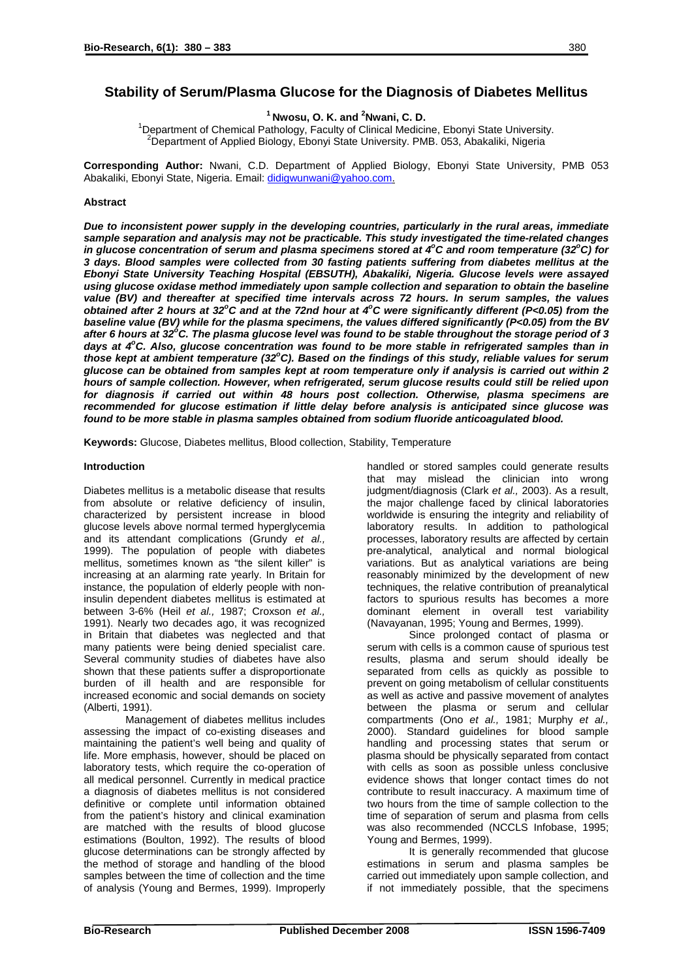# **Stability of Serum/Plasma Glucose for the Diagnosis of Diabetes Mellitus**

<sup>1</sup> Nwosu, O. K. and <sup>2</sup>Nwani, C. D.

**Nwosu, O. K. and 'Nwani, C. D.**<br><sup>1</sup> Department of Chamical Bathology, Equulty of Clinical Madieir Department of Chemical Pathology, Faculty of Clinical Medicine, Ebonyi State University.<br><sup>2</sup> Department of Applied Ricleau, Ebonyi State University, PMB, 052, Abelseliki, Nigeric. <sup>2</sup>Department of Applied Biology, Ebonyi State University. PMB. 053, Abakaliki, Nigeria

**Corresponding Author:** Nwani, C.D. Department of Applied Biology, Ebonyi State University, PMB 053 Abakaliki, Ebonyi State, Nigeria. Email: [didigwunwani@yahoo.com](mailto:didigwunwani@yahoo.com).

## **Abstract**

*Due to inconsistent power supply in the developing countries, particularly in the rural areas, immediate sample separation and analysis may not be practicable. This study investigated the time-related changes*  in glucose concentration of serum and plasma specimens stored at 4°C and room temperature (32°C) for *3 days. Blood samples were collected from 30 fasting patients suffering from diabetes mellitus at the Ebonyi State University Teaching Hospital (EBSUTH), Abakaliki, Nigeria. Glucose levels were assayed using glucose oxidase method immediately upon sample collection and separation to obtain the baseline value (BV) and thereafter at specified time intervals across 72 hours. In serum samples, the values obtained after 2 hours at 32<sup>o</sup> C and at the 72nd hour at 4o C were significantly different (P<0.05) from the baseline value (BV) while for the plasma specimens, the values differed significantly (P<0.05) from the BV* after 6 hours at 32<sup>°</sup>C. The plasma glucose level was found to be stable throughout the storage period of 3 days at 4<sup>o</sup>C. Also, glucose concentration was found to be more stable in refrigerated samples than in those kept at ambient temperature (32°C). Based on the findings of this study, reliable values for serum *glucose can be obtained from samples kept at room temperature only if analysis is carried out within 2 hours of sample collection. However, when refrigerated, serum glucose results could still be relied upon for diagnosis if carried out within 48 hours post collection. Otherwise, plasma specimens are recommended for glucose estimation if little delay before analysis is anticipated since glucose was found to be more stable in plasma samples obtained from sodium fluoride anticoagulated blood.*

**Keywords:** Glucose, Diabetes mellitus, Blood collection, Stability, Temperature

### **Introduction**

Diabetes mellitus is a metabolic disease that results from absolute or relative deficiency of insulin, characterized by persistent increase in blood glucose levels above normal termed hyperglycemia and its attendant complications (Grundy *et al.,* 1999). The population of people with diabetes mellitus, sometimes known as "the silent killer" is increasing at an alarming rate yearly. In Britain for instance, the population of elderly people with noninsulin dependent diabetes mellitus is estimated at between 3-6% (Heil *et al.,* 1987; Croxson *et al.,* 1991). Nearly two decades ago, it was recognized in Britain that diabetes was neglected and that many patients were being denied specialist care. Several community studies of diabetes have also shown that these patients suffer a disproportionate burden of ill health and are responsible for increased economic and social demands on society (Alberti, 1991).

Management of diabetes mellitus includes assessing the impact of co-existing diseases and maintaining the patient's well being and quality of life. More emphasis, however, should be placed on laboratory tests, which require the co-operation of all medical personnel. Currently in medical practice a diagnosis of diabetes mellitus is not considered definitive or complete until information obtained from the patient's history and clinical examination are matched with the results of blood glucose estimations (Boulton, 1992). The results of blood glucose determinations can be strongly affected by the method of storage and handling of the blood samples between the time of collection and the time of analysis (Young and Bermes, 1999). Improperly handled or stored samples could generate results that may mislead the clinician into wrong judgment/diagnosis (Clark *et al.,* 2003). As a result, the major challenge faced by clinical laboratories worldwide is ensuring the integrity and reliability of laboratory results. In addition to pathological processes, laboratory results are affected by certain pre-analytical, analytical and normal biological variations. But as analytical variations are being reasonably minimized by the development of new techniques, the relative contribution of preanalytical factors to spurious results has becomes a more dominant element in overall test variability (Navayanan, 1995; Young and Bermes, 1999).

Since prolonged contact of plasma or serum with cells is a common cause of spurious test results, plasma and serum should ideally be separated from cells as quickly as possible to prevent on going metabolism of cellular constituents as well as active and passive movement of analytes between the plasma or serum and cellular compartments (Ono *et al.,* 1981; Murphy *et al.,* 2000). Standard guidelines for blood sample handling and processing states that serum or plasma should be physically separated from contact with cells as soon as possible unless conclusive evidence shows that longer contact times do not contribute to result inaccuracy. A maximum time of two hours from the time of sample collection to the time of separation of serum and plasma from cells was also recommended (NCCLS Infobase, 1995; Young and Bermes, 1999).

It is generally recommended that glucose estimations in serum and plasma samples be carried out immediately upon sample collection, and if not immediately possible, that the specimens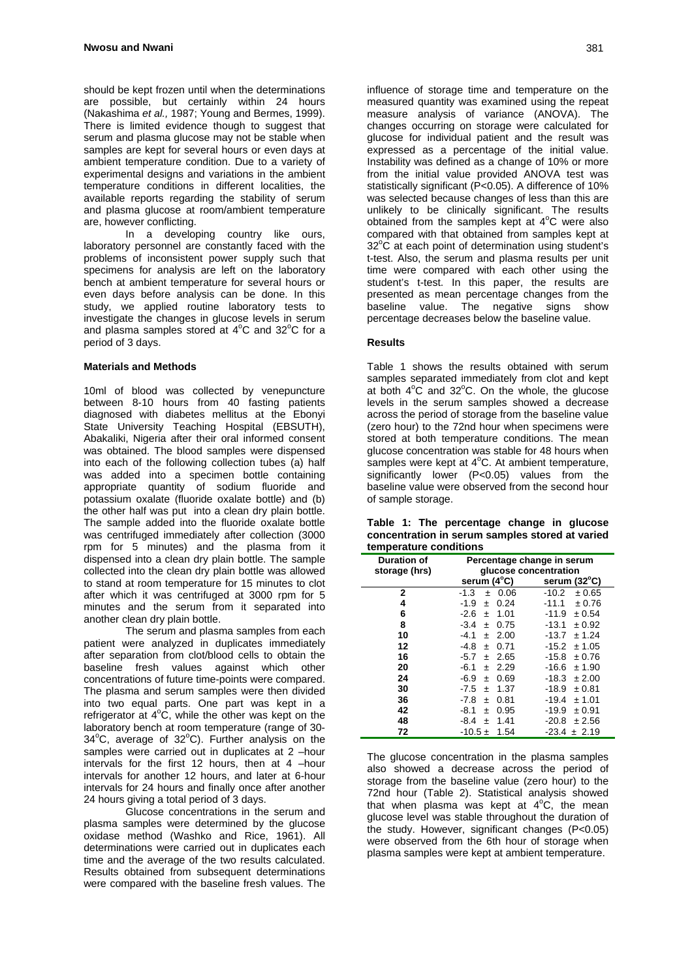should be kept frozen until when the determinations are possible, but certainly within 24 hours (Nakashima *et al.,* 1987; Young and Bermes, 1999). There is limited evidence though to suggest that serum and plasma glucose may not be stable when samples are kept for several hours or even days at ambient temperature condition. Due to a variety of experimental designs and variations in the ambient temperature conditions in different localities, the available reports regarding the stability of serum and plasma glucose at room/ambient temperature are, however conflicting.

 In a developing country like ours, laboratory personnel are constantly faced with the problems of inconsistent power supply such that specimens for analysis are left on the laboratory bench at ambient temperature for several hours or even days before analysis can be done. In this study, we applied routine laboratory tests to investigate the changes in glucose levels in serum and plasma samples stored at  $4^{\circ}$ C and  $32^{\circ}$ C for a period of 3 days.

### **Materials and Methods**

10ml of blood was collected by venepuncture between 8-10 hours from 40 fasting patients diagnosed with diabetes mellitus at the Ebonyi State University Teaching Hospital (EBSUTH), Abakaliki, Nigeria after their oral informed consent was obtained. The blood samples were dispensed into each of the following collection tubes (a) half was added into a specimen bottle containing appropriate quantity of sodium fluoride and potassium oxalate (fluoride oxalate bottle) and (b) the other half was put into a clean dry plain bottle. The sample added into the fluoride oxalate bottle was centrifuged immediately after collection (3000 rpm for 5 minutes) and the plasma from it dispensed into a clean dry plain bottle. The sample collected into the clean dry plain bottle was allowed to stand at room temperature for 15 minutes to clot after which it was centrifuged at 3000 rpm for 5 minutes and the serum from it separated into another clean dry plain bottle.

 The serum and plasma samples from each patient were analyzed in duplicates immediately after separation from clot/blood cells to obtain the baseline fresh values against which other concentrations of future time-points were compared. The plasma and serum samples were then divided into two equal parts. One part was kept in a refrigerator at  $4^{\circ}$ C, while the other was kept on the laboratory bench at room temperature (range of 30-  $34^{\circ}$ C, average of  $32^{\circ}$ C). Further analysis on the samples were carried out in duplicates at 2 –hour intervals for the first 12 hours, then at 4 –hour intervals for another 12 hours, and later at 6-hour intervals for 24 hours and finally once after another 24 hours giving a total period of 3 days.

 Glucose concentrations in the serum and plasma samples were determined by the glucose oxidase method (Washko and Rice, 1961). All determinations were carried out in duplicates each time and the average of the two results calculated. Results obtained from subsequent determinations were compared with the baseline fresh values. The

influence of storage time and temperature on the measured quantity was examined using the repeat measure analysis of variance (ANOVA). The changes occurring on storage were calculated for glucose for individual patient and the result was expressed as a percentage of the initial value. Instability was defined as a change of 10% or more from the initial value provided ANOVA test was statistically significant (P<0.05). A difference of 10% was selected because changes of less than this are unlikely to be clinically significant. The results obtained from the samples kept at  $4^{\circ}$ C were also compared with that obtained from samples kept at  $32^{\circ}$ C at each point of determination using student's t-test. Also, the serum and plasma results per unit time were compared with each other using the student's t-test. In this paper, the results are presented as mean percentage changes from the baseline value. The negative signs show percentage decreases below the baseline value.

## **Results**

Table 1 shows the results obtained with serum samples separated immediately from clot and kept at both  $4^{\circ}$ C and  $32^{\circ}$ C. On the whole, the glucose levels in the serum samples showed a decrease across the period of storage from the baseline value (zero hour) to the 72nd hour when specimens were stored at both temperature conditions. The mean glucose concentration was stable for 48 hours when samples were kept at  $4^{\circ}$ C. At ambient temperature, significantly lower (P<0.05) values from the baseline value were observed from the second hour of sample storage.

|                        |  |  | Table 1: The percentage change in glucose       |  |  |  |
|------------------------|--|--|-------------------------------------------------|--|--|--|
|                        |  |  | concentration in serum samples stored at varied |  |  |  |
| temperature conditions |  |  |                                                 |  |  |  |

| <b>Duration of</b><br>storage (hrs) | Percentage change in serum<br>glucose concentration |                   |  |  |
|-------------------------------------|-----------------------------------------------------|-------------------|--|--|
|                                     | serum $(4^{\circ}C)$                                | serum (32°C)      |  |  |
| 2                                   | $-1.3$<br>0.06<br>$\pm$                             | $-10.2$<br>± 0.65 |  |  |
| 4                                   | 0.24<br>$-1.9$<br>Ŧ                                 | ± 0.76<br>$-11.1$ |  |  |
| 6                                   | 1.01<br>$-2.6$<br>Ŧ.                                | $-11.9$<br>± 0.54 |  |  |
| 8                                   | $-3.4$<br>0.75<br>$\pm$                             | $-13.1$<br>± 0.92 |  |  |
| 10                                  | $-4.1$<br>2.00<br>$\pm$                             | ± 1.24<br>$-13.7$ |  |  |
| 12                                  | -4.8<br>0.71<br>Ŧ                                   | $-15.2$<br>± 1.05 |  |  |
| 16                                  | $-5.7$<br>2.65<br>$\pm$                             | ± 0.76<br>$-15.8$ |  |  |
| 20                                  | $-6.1$<br>$±$ 2.29                                  | $-16.6$<br>± 1.90 |  |  |
| 24                                  | $-6.9$<br>0.69<br>Ŧ                                 | -18.3<br>± 2.00   |  |  |
| 30                                  | $-7.5$<br>1.37<br>Ŧ                                 | $-18.9$<br>± 0.81 |  |  |
| 36                                  | 0.81<br>$-7.8$<br>Ŧ                                 | $-19.4$<br>± 1.01 |  |  |
| 42                                  | 0.95<br>-8.1<br>Ŧ                                   | $-19.9$<br>± 0.91 |  |  |
| 48                                  | 1.41<br>-8.4<br>Ŧ                                   | $-20.8$<br>± 2.56 |  |  |
| 72                                  | $-10.5 \pm$<br>1.54                                 | -23.4<br>± 2.19   |  |  |

The glucose concentration in the plasma samples also showed a decrease across the period of storage from the baseline value (zero hour) to the 72nd hour (Table 2). Statistical analysis showed that when plasma was kept at  $4^{\circ}$ C, the mean glucose level was stable throughout the duration of the study. However, significant changes (P<0.05) were observed from the 6th hour of storage when plasma samples were kept at ambient temperature.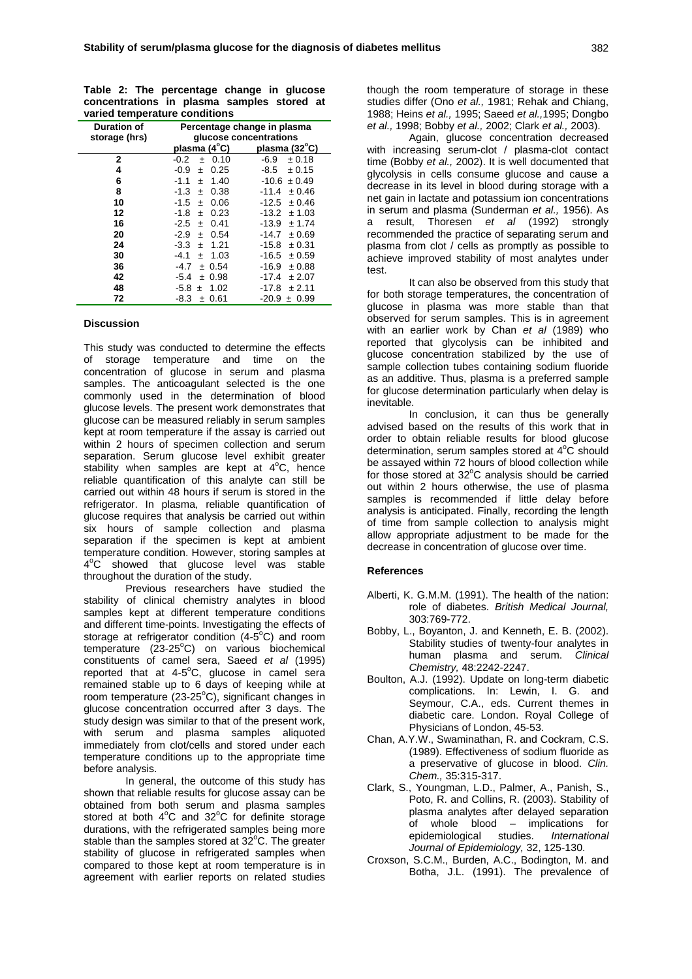|                               |  |  |  |  | Table 2: The percentage change in glucose  |  |  |
|-------------------------------|--|--|--|--|--------------------------------------------|--|--|
|                               |  |  |  |  | concentrations in plasma samples stored at |  |  |
| varied temperature conditions |  |  |  |  |                                            |  |  |

| varied temperature continuous |                             |                  |  |  |
|-------------------------------|-----------------------------|------------------|--|--|
| <b>Duration of</b>            | Percentage change in plasma |                  |  |  |
| storage (hrs)                 | glucose concentrations      |                  |  |  |
|                               | plasma (4°C)                | plasma (32°C)    |  |  |
| 2                             | $-0.2$<br>$\pm$ 0.10        | -6.9<br>± 0.18   |  |  |
| 4                             | $-0.9$<br>0.25<br>Ŧ.        | ± 0.15<br>-8.5   |  |  |
| 6                             | 1.40<br>$-1.1$<br>$\pm$     | $-10.6 \pm 0.49$ |  |  |
| 8                             | 0.38<br>-1.3<br>$\pm$       | ± 0.46<br>-11.4  |  |  |
| 10                            | $-1.5$<br>0.06<br>$\pm$     | $-12.5 \pm 0.46$ |  |  |
| 12                            | 0.23<br>$-1.8$<br>$\pm$     | $-13.2 \pm 1.03$ |  |  |
| 16                            | 0.41<br>$-2.5$<br>$\pm$     | $-13.9 \pm 1.74$ |  |  |
| 20                            | -2.9<br>0.54<br>$\pm$       | -14.7<br>±0.69   |  |  |
| 24                            | 1.21<br>-3.3<br>$\pm$       | ± 0.31<br>-15.8  |  |  |
| 30                            | - 1.03<br>-4.1<br>$\pm$     | -16.5<br>± 0.59  |  |  |
| 36                            | ± 0.54<br>-4.7              | -16.9<br>± 0.88  |  |  |
| 42                            | $-5.4$<br>± 0.98            | -17.4<br>± 2.07  |  |  |
| 48                            | $-5.8 \pm 1.02$             | -17.8<br>± 2.11  |  |  |
| 72                            | ± 0.61<br>-8.3              | -20.9<br>± 0.99  |  |  |

## **Discussion**

This study was conducted to determine the effects of storage temperature and time on the concentration of glucose in serum and plasma samples. The anticoagulant selected is the one commonly used in the determination of blood glucose levels. The present work demonstrates that glucose can be measured reliably in serum samples kept at room temperature if the assay is carried out within 2 hours of specimen collection and serum separation. Serum glucose level exhibit greater stability when samples are kept at  $4^{\circ}$ C, hence reliable quantification of this analyte can still be carried out within 48 hours if serum is stored in the refrigerator. In plasma, reliable quantification of glucose requires that analysis be carried out within six hours of sample collection and plasma separation if the specimen is kept at ambient temperature condition. However, storing samples at 4<sup>o</sup>C showed that glucose level was stable throughout the duration of the study.

 Previous researchers have studied the stability of clinical chemistry analytes in blood samples kept at different temperature conditions and different time-points. Investigating the effects of storage at refrigerator condition  $(4-5^{\circ}C)$  and room temperature (23-25°C) on various biochemical constituents of camel sera, Saeed *et al* (1995) reported that at 4-5°C, glucose in camel sera remained stable up to 6 days of keeping while at room temperature (23-25°C), significant changes in glucose concentration occurred after 3 days. The study design was similar to that of the present work, with serum and plasma samples aliquoted immediately from clot/cells and stored under each temperature conditions up to the appropriate time before analysis.

 In general, the outcome of this study has shown that reliable results for glucose assay can be obtained from both serum and plasma samples stored at both  $4^{\circ}$ C and  $32^{\circ}$ C for definite storage durations, with the refrigerated samples being more stable than the samples stored at  $32^{\circ}$ C. The greater stability of glucose in refrigerated samples when compared to those kept at room temperature is in agreement with earlier reports on related studies

though the room temperature of storage in these studies differ (Ono *et al.,* 1981; Rehak and Chiang, 1988; Heins *et al.,* 1995; Saeed *et al.,*1995; Dongbo *et al.,* 1998; Bobby *et al.,* 2002; Clark *et al.,* 2003).

 Again, glucose concentration decreased with increasing serum-clot / plasma-clot contact time (Bobby *et al.,* 2002). It is well documented that glycolysis in cells consume glucose and cause a decrease in its level in blood during storage with a net gain in lactate and potassium ion concentrations in serum and plasma (Sunderman *et al.,* 1956). As a result, Thoresen *et al* (1992) strongly recommended the practice of separating serum and plasma from clot / cells as promptly as possible to achieve improved stability of most analytes under test.

 It can also be observed from this study that for both storage temperatures, the concentration of glucose in plasma was more stable than that observed for serum samples. This is in agreement with an earlier work by Chan *et al* (1989) who reported that glycolysis can be inhibited and glucose concentration stabilized by the use of sample collection tubes containing sodium fluoride as an additive. Thus, plasma is a preferred sample for glucose determination particularly when delay is inevitable.

 In conclusion, it can thus be generally advised based on the results of this work that in order to obtain reliable results for blood glucose determination, serum samples stored at  $4^{\circ}$ C should be assayed within 72 hours of blood collection while for those stored at  $32^{\circ}$ C analysis should be carried out within 2 hours otherwise, the use of plasma samples is recommended if little delay before analysis is anticipated. Finally, recording the length of time from sample collection to analysis might allow appropriate adjustment to be made for the decrease in concentration of glucose over time.

#### **References**

- Alberti, K. G.M.M. (1991). The health of the nation: role of diabetes. *British Medical Journal,* 303:769-772.
- Bobby, L., Boyanton, J. and Kenneth, E. B. (2002). Stability studies of twenty-four analytes in human plasma and serum. *Clinical Chemistry,* 48:2242-2247.
- Boulton, A.J. (1992). Update on long-term diabetic complications. In: Lewin, I. G. and Seymour, C.A., eds. Current themes in diabetic care. London. Royal College of Physicians of London, 45-53.
- Chan, A.Y.W., Swaminathan, R. and Cockram, C.S. (1989). Effectiveness of sodium fluoride as a preservative of glucose in blood. *Clin. Chem.,* 35:315-317.
- Clark, S., Youngman, L.D., Palmer, A., Panish, S., Poto, R. and Collins, R. (2003). Stability of plasma analytes after delayed separation of whole blood – implications for epidemiological studies. *International Journal of Epidemiology,* 32, 125-130.
- Croxson, S.C.M., Burden, A.C., Bodington, M. and Botha, J.L. (1991). The prevalence of